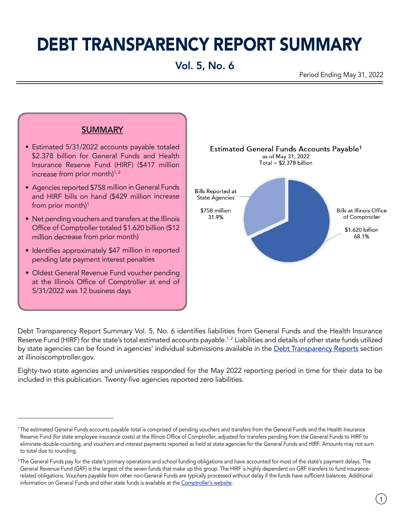# DEBT TRANSPARENCY REPORT SUMMARY

# Vol. 5, No. 6

Period Ending May 31, 2022



- Estimated 5/31/2022 accounts payable totaled \$2.378 billion for General Funds and Health Insurance Reserve Fund (HIRF) (\$417 million increase from prior month $)^{1, 2}$
- Agencies reported \$758 million in General Funds and HIRF bills on hand (\$429 million increase from prior month)<sup>1</sup>
- Net pending vouchers and transfers at the Illinois Office of Comptroller totaled \$1.620 billion (\$12 million decrease from prior month)
- Identifies approximately \$47 million in reported pending late payment interest penalties
- Oldest General Revenue Fund voucher pending at the Illinois Office of Comptroller at end of 5/31/2022 was 12 business days



Debt Transparency Report Summary Vol. 5, No. 6 identifies liabilities from General Funds and the Health Insurance Reserve Fund (HIRF) for the state's total estimated accounts payable.<sup>1,2</sup> Liabilities and details of other state funds utilized by state agencies can be found in agencies' individual submissions available in the [Debt Transparency Reports](https://illinoiscomptroller.gov/financial-reports-data/find-a-report/debt-transparency-report) section at illinoiscomptroller.gov.

Eighty-two state agencies and universities responded for the May 2022 reporting period in time for their data to be included in this publication. Twenty-five agencies reported zero liabilities.

<sup>1</sup> The estimated General Funds accounts payable total is comprised of pending vouchers and transfers from the General Funds and the Health Insurance Reserve Fund (for state employee insurance costs) at the Illinois Office of Comptroller, adjusted for transfers pending from the General Funds to HIRF to eliminate double-counting, and vouchers and interest payments reported as held at state agencies for the General Funds and HIRF. Amounts may not sum to total due to rounding.

<sup>&</sup>lt;sup>2</sup>The General Funds pay for the state's primary operations and school funding obligations and have accounted for most of the state's payment delays. The General Revenue Fund (GRF) is the largest of the seven funds that make up this group. The HIRF is highly dependent on GRF transfers to fund insurancerelated obligations. Vouchers payable from other non-General Funds are typically processed without delay if the funds have sufficient balances. Additional information on General Funds and other state funds is available at the [Comptroller's website.](https://illinoiscomptroller.gov/financial-reports-data/data-sets-portals/fund-search)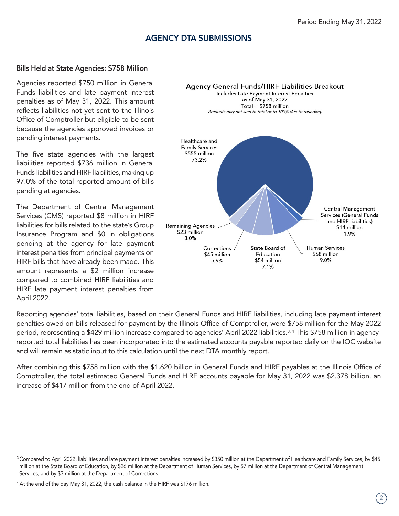### AGENCY DTA SUBMISSIONS

#### Bills Held at State Agencies: \$758 Million

Agencies reported \$750 million in General Funds liabilities and late payment interest penalties as of May 31, 2022. This amount reflects liabilities not yet sent to the Illinois Office of Comptroller but eligible to be sent because the agencies approved invoices or pending interest payments.

The five state agencies with the largest liabilities reported \$736 million in General Funds liabilities and HIRF liabilities, making up 97.0% of the total reported amount of bills pending at agencies.

The Department of Central Management Services (CMS) reported \$8 million in HIRF liabilities for bills related to the state's Group Insurance Program and \$0 in obligations pending at the agency for late payment interest penalties from principal payments on HIRF bills that have already been made. This amount represents a \$2 million increase compared to combined HIRF liabilities and HIRF late payment interest penalties from April 2022.



Reporting agencies' total liabilities, based on their General Funds and HIRF liabilities, including late payment interest penalties owed on bills released for payment by the Illinois Office of Comptroller, were \$758 million for the May 2022 period, representing a \$429 million increase compared to agencies' April 2022 liabilities.<sup>3,4</sup> This \$758 million in agencyreported total liabilities has been incorporated into the estimated accounts payable reported daily on the IOC website and will remain as static input to this calculation until the next DTA monthly report.

After combining this \$758 million with the \$1.620 billion in General Funds and HIRF payables at the Illinois Office of Comptroller, the total estimated General Funds and HIRF accounts payable for May 31, 2022 was \$2.378 billion, an increase of \$417 million from the end of April 2022.

<sup>&</sup>lt;sup>3</sup> Compared to April 2022, liabilities and late payment interest penalties increased by \$350 million at the Department of Healthcare and Family Services, by \$45 million at the State Board of Education, by \$26 million at the Department of Human Services, by \$7 million at the Department of Central Management Services, and by \$3 million at the Department of Corrections.

<sup>4</sup> At the end of the day May 31, 2022, the cash balance in the HIRF was \$176 million.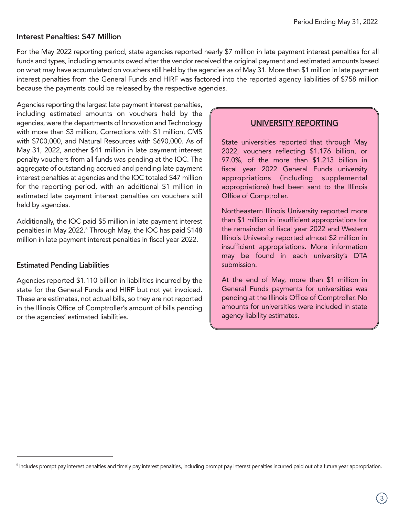#### Interest Penalties: \$47 Million

For the May 2022 reporting period, state agencies reported nearly \$7 million in late payment interest penalties for all funds and types, including amounts owed after the vendor received the original payment and estimated amounts based on what may have accumulated on vouchers still held by the agencies as of May 31. More than \$1 million in late payment interest penalties from the General Funds and HIRF was factored into the reported agency liabilities of \$758 million because the payments could be released by the respective agencies.

Agencies reporting the largest late payment interest penalties, including estimated amounts on vouchers held by the agencies, were the departments of Innovation and Technology with more than \$3 million, Corrections with \$1 million, CMS with \$700,000, and Natural Resources with \$690,000. As of May 31, 2022, another \$41 million in late payment interest penalty vouchers from all funds was pending at the IOC. The aggregate of outstanding accrued and pending late payment interest penalties at agencies and the IOC totaled \$47 million for the reporting period, with an additional \$1 million in estimated late payment interest penalties on vouchers still held by agencies.

Additionally, the IOC paid \$5 million in late payment interest penalties in May 2022.<sup>5</sup> Through May, the IOC has paid \$148 million in late payment interest penalties in fiscal year 2022.

#### Estimated Pending Liabilities

Agencies reported \$1.110 billion in liabilities incurred by the state for the General Funds and HIRF but not yet invoiced. These are estimates, not actual bills, so they are not reported in the Illinois Office of Comptroller's amount of bills pending or the agencies' estimated liabilities.

#### UNIVERSITY REPORTING

State universities reported that through May 2022, vouchers reflecting \$1.176 billion, or 97.0%, of the more than \$1.213 billion in fiscal year 2022 General Funds university appropriations (including supplemental appropriations) had been sent to the Illinois Office of Comptroller.

Northeastern Illinois University reported more than \$1 million in insufficient appropriations for the remainder of fiscal year 2022 and Western Illinois University reported almost \$2 million in insufficient appropriations. More information may be found in each university's DTA submission.

At the end of May, more than \$1 million in General Funds payments for universities was pending at the Illinois Office of Comptroller. No amounts for universities were included in state agency liability estimates.

<sup>&</sup>lt;sup>5</sup> Includes prompt pay interest penalties and timely pay interest penalties, including prompt pay interest penalties incurred paid out of a future year appropriation.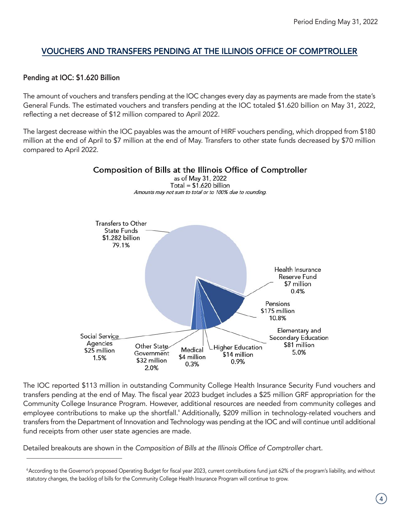## VOUCHERS AND TRANSFERS PENDING AT THE ILLINOIS OFFICE OF COMPTROLLER

#### Pending at IOC: \$1.620 Billion

The amount of vouchers and transfers pending at the IOC changes every day as payments are made from the state's General Funds. The estimated vouchers and transfers pending at the IOC totaled \$1.620 billion on May 31, 2022, reflecting a net decrease of \$12 million compared to April 2022.

The largest decrease within the IOC payables was the amount of HIRF vouchers pending, which dropped from \$180 million at the end of April to \$7 million at the end of May. Transfers to other state funds decreased by \$70 million compared to April 2022.



The IOC reported \$113 million in outstanding Community College Health Insurance Security Fund vouchers and transfers pending at the end of May. The fiscal year 2023 budget includes a \$25 million GRF appropriation for the Community College Insurance Program. However, additional resources are needed from community colleges and employee contributions to make up the shortfall.<sup>6</sup> Additionally, \$209 million in technology-related vouchers and transfers from the Department of Innovation and Technology was pending at the IOC and will continue until additional fund receipts from other user state agencies are made.

Detailed breakouts are shown in the *Composition of Bills at the Illinois Office of Comptroller chart*.

<sup>6</sup>According to the Governor's proposed Operating Budget for fiscal year 2023, current contributions fund just 62% of the program's liability, and without statutory changes, the backlog of bills for the Community College Health Insurance Program will continue to grow.